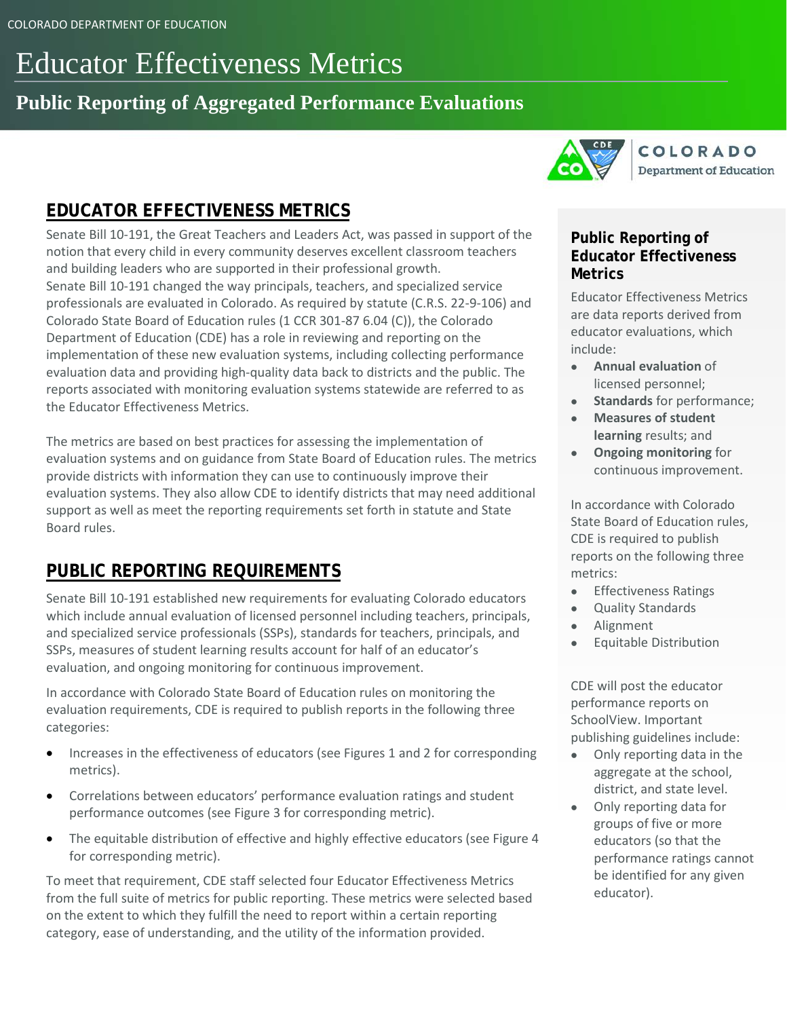# Educator Effectiveness Metrics

# **Public Reporting of Aggregated Performance Evaluations**



# **EDUCATOR EFFECTIVENESS METRICS**

Senate Bill 10-191, the Great Teachers and Leaders Act, was passed in support of the notion that every child in every community deserves excellent classroom teachers and building leaders who are supported in their professional growth. Senate Bill 10-191 changed the way principals, teachers, and specialized service professionals are evaluated in Colorado. As required by statute (C.R.S. 22-9-106) and Colorado State Board of Education rules (1 CCR 301-87 6.04 (C)), the Colorado Department of Education (CDE) has a role in reviewing and reporting on the implementation of these new evaluation systems, including collecting performance evaluation data and providing high-quality data back to districts and the public. The reports associated with monitoring evaluation systems statewide are referred to as the Educator Effectiveness Metrics.

The metrics are based on best practices for assessing the implementation of evaluation systems and on guidance from State Board of Education rules. The metrics provide districts with information they can use to continuously improve their evaluation systems. They also allow CDE to identify districts that may need additional support as well as meet the reporting requirements set forth in statute and State Board rules.

### **PUBLIC REPORTING REQUIREMENTS**

Senate Bill 10-191 established new requirements for evaluating Colorado educators which include annual evaluation of licensed personnel including teachers, principals, and specialized service professionals (SSPs), standards for teachers, principals, and SSPs, measures of student learning results account for half of an educator's evaluation, and ongoing monitoring for continuous improvement.

In accordance with Colorado State Board of Education rules on monitoring the evaluation requirements, CDE is required to publish reports in the following three categories:

- Increases in the effectiveness of educators (see Figures 1 and 2 for corresponding metrics).
- Correlations between educators' performance evaluation ratings and student performance outcomes (see Figure 3 for corresponding metric).
- The equitable distribution of effective and highly effective educators (see Figure 4 for corresponding metric).

To meet that requirement, CDE staff selected four Educator Effectiveness Metrics from the full suite of metrics for public reporting. These metrics were selected based on the extent to which they fulfill the need to report within a certain reporting category, ease of understanding, and the utility of the information provided.

### **Public Reporting of Educator Effectiveness Metrics**

Educator Effectiveness Metrics are data reports derived from educator evaluations, which include:

- **Annual evaluation** of licensed personnel;
- **Standards** for performance;
- **Measures of student learning** results; and
- **Ongoing monitoring** for continuous improvement.

In accordance with Colorado State Board of Education rules, CDE is required to publish reports on the following three metrics:

- Effectiveness Ratings
- Quality Standards
- Alignment
- Equitable Distribution

CDE will post the educator performance reports on SchoolView. Important publishing guidelines include:

- Only reporting data in the aggregate at the school, district, and state level.
- Only reporting data for groups of five or more educators (so that the performance ratings cannot be identified for any given educator).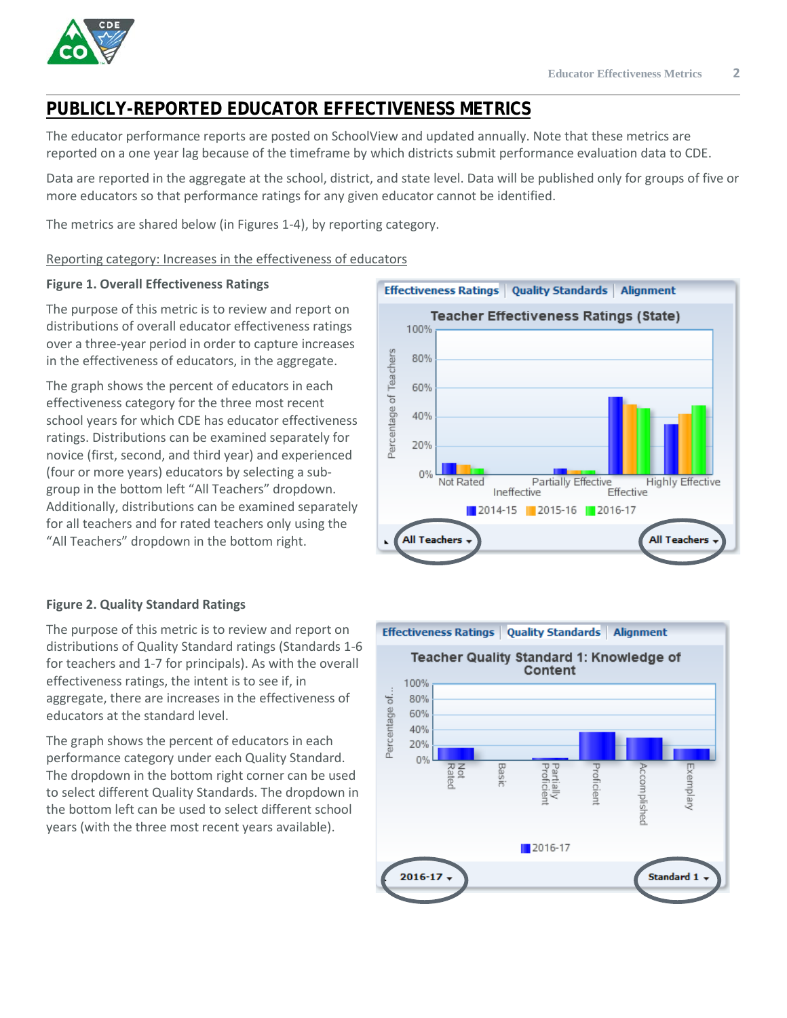## **PUBLICLY-REPORTED EDUCATOR EFFECTIVENESS METRICS**

The educator performance reports are posted on SchoolView and updated annually. Note that these metrics are reported on a one year lag because of the timeframe by which districts submit performance evaluation data to CDE.

Data are reported in the aggregate at the school, district, and state level. Data will be published only for groups of five or more educators so that performance ratings for any given educator cannot be identified.

The metrics are shared below (in Figures 1-4), by reporting category.

Reporting category: Increases in the effectiveness of educators

#### **Figure 1. Overall Effectiveness Ratings**

The purpose of this metric is to review and report on distributions of overall educator effectiveness ratings over a three-year period in order to capture increases in the effectiveness of educators, in the aggregate.

The graph shows the percent of educators in each effectiveness category for the three most recent school years for which CDE has educator effectiveness ratings. Distributions can be examined separately for novice (first, second, and third year) and experienced (four or more years) educators by selecting a subgroup in the bottom left "All Teachers" dropdown. Additionally, distributions can be examined separately for all teachers and for rated teachers only using the "All Teachers" dropdown in the bottom right.



### **Figure 2. Quality Standard Ratings**

The purpose of this metric is to review and report on distributions of Quality Standard ratings (Standards 1-6 for teachers and 1-7 for principals). As with the overall effectiveness ratings, the intent is to see if, in aggregate, there are increases in the effectiveness of educators at the standard level.

The graph shows the percent of educators in each performance category under each Quality Standard. The dropdown in the bottom right corner can be used to select different Quality Standards. The dropdown in the bottom left can be used to select different school years (with the three most recent years available).